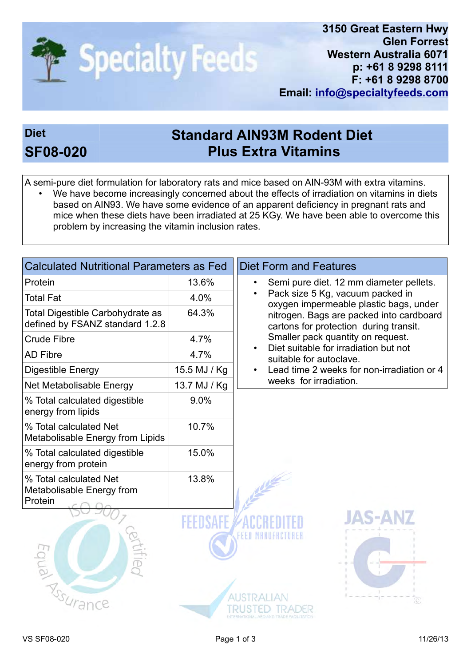

problem by increasing the vitamin inclusion rates.

## Diet **Standard AIN93M Rodent Diet** SF08-020 Plus Extra Vitamins

A semi-pure diet formulation for laboratory rats and mice based on AIN-93M with extra vitamins. We have become increasingly concerned about the effects of irradiation on vitamins in diets based on AIN93. We have some evidence of an apparent deficiency in pregnant rats and mice when these diets have been irradiated at 25 KGy. We have been able to overcome this

| <b>Calculated Nutritional Parameters as Fed</b>                     |              | <b>Diet Form and Features</b>                                                      |  |
|---------------------------------------------------------------------|--------------|------------------------------------------------------------------------------------|--|
| Protein                                                             | 13.6%        | Semi pure diet. 12 mm diameter pellets.                                            |  |
| <b>Total Fat</b>                                                    | 4.0%         | Pack size 5 Kg, vacuum packed in<br>oxygen impermeable plastic bags, under         |  |
| Total Digestible Carbohydrate as<br>defined by FSANZ standard 1.2.8 | 64.3%        | nitrogen. Bags are packed into cardboard<br>cartons for protection during transit. |  |
| <b>Crude Fibre</b>                                                  | 4.7%         | Smaller pack quantity on request.                                                  |  |
| <b>AD Fibre</b>                                                     | 4.7%         | Diet suitable for irradiation but not<br>suitable for autoclave.                   |  |
| Digestible Energy                                                   | 15.5 MJ / Kg | Lead time 2 weeks for non-irradiation or 4                                         |  |
| Net Metabolisable Energy                                            | 13.7 MJ / Kg | weeks for irradiation.                                                             |  |
| % Total calculated digestible<br>energy from lipids                 | 9.0%         |                                                                                    |  |
| % Total calculated Net<br>Metabolisable Energy from Lipids          | 10.7%        |                                                                                    |  |
| % Total calculated digestible<br>energy from protein                | 15.0%        |                                                                                    |  |
| % Total calculated Net<br>Metabolisable Energy from<br>Protein      | 13.8%        |                                                                                    |  |
| Equial River                                                        |              | <b>JAS-AR</b>                                                                      |  |
|                                                                     |              |                                                                                    |  |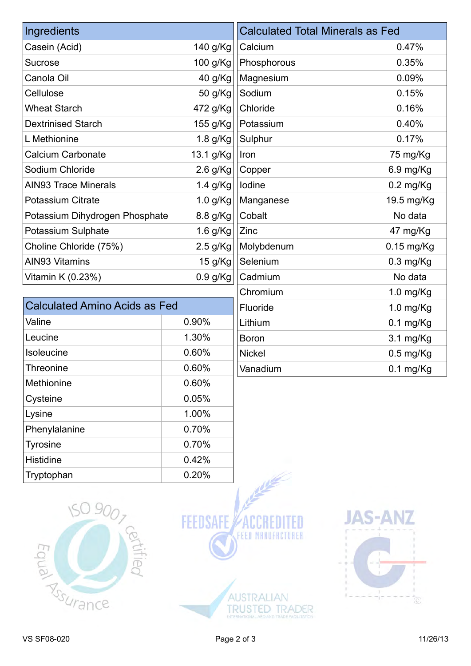| Ingredients                    |            | <b>Calculated Total Minerals as Fed</b> |                     |
|--------------------------------|------------|-----------------------------------------|---------------------|
| Casein (Acid)                  | 140 g/Kg   | Calcium                                 | 0.47%               |
| <b>Sucrose</b>                 | 100 g/Kg   | Phosphorous                             | 0.35%               |
| Canola Oil                     | 40 g/Kg    | Magnesium                               | 0.09%               |
| Cellulose                      | 50 g/Kg    | Sodium                                  | 0.15%               |
| <b>Wheat Starch</b>            | 472 g/Kg   | Chloride                                | 0.16%               |
| <b>Dextrinised Starch</b>      | 155 g/Kg   | Potassium                               | 0.40%               |
| L Methionine                   | $1.8$ g/Kg | Sulphur                                 | 0.17%               |
| <b>Calcium Carbonate</b>       | 13.1 g/Kg  | Iron                                    | 75 mg/Kg            |
| Sodium Chloride                | 2.6 g/Kg   | Copper                                  | $6.9$ mg/Kg         |
| <b>AIN93 Trace Minerals</b>    | 1.4 g/Kg   | lodine                                  | $0.2 \text{ mg/Kg}$ |
| <b>Potassium Citrate</b>       | 1.0 $g/Kg$ | Manganese                               | 19.5 mg/Kg          |
| Potassium Dihydrogen Phosphate | 8.8 g/Kg   | Cobalt                                  | No data             |
| Potassium Sulphate             | 1.6 g/Kg   | Zinc                                    | 47 mg/Kg            |
| Choline Chloride (75%)         | $2.5$ g/Kg | Molybdenum                              | $0.15$ mg/Kg        |
| <b>AIN93 Vitamins</b>          | 15 g/Kg    | Selenium                                | $0.3$ mg/Kg         |
| Vitamin K (0.23%)              | $0.9$ g/Kg | Cadmium                                 | No data             |
|                                |            | Chromium                                | 1.0 mg/Kg           |

| <b>Calculated Amino Acids as Fed</b> |       |  |  |  |
|--------------------------------------|-------|--|--|--|
| Valine                               | 0.90% |  |  |  |
| Leucine                              | 1.30% |  |  |  |
| <b>Isoleucine</b>                    | 0.60% |  |  |  |
| Threonine                            | 0.60% |  |  |  |
| Methionine                           | 0.60% |  |  |  |
| Cysteine                             | 0.05% |  |  |  |
| Lysine                               | 1.00% |  |  |  |
| Phenylalanine                        | 0.70% |  |  |  |
| <b>Tyrosine</b>                      | 0.70% |  |  |  |
| <b>Histidine</b>                     | 0.42% |  |  |  |
| Tryptophan                           | 0.20% |  |  |  |

| Manganese     | 19.5 mg/Kg          |  |
|---------------|---------------------|--|
| Cobalt        | No data             |  |
| Zinc          | 47 mg/Kg            |  |
| Molybdenum    | $0.15$ mg/Kg        |  |
| Selenium      | $0.3$ mg/Kg         |  |
| Cadmium       | No data             |  |
| Chromium      | 1.0 $mg/Kg$         |  |
| Fluoride      | $1.0$ mg/Kg         |  |
| Lithium       | $0.1$ mg/Kg         |  |
| <b>Boron</b>  | $3.1 \text{ mg/Kg}$ |  |
| <b>Nickel</b> | $0.5$ mg/Kg         |  |
| Vanadium      | $0.1$ mg/ $Kg$      |  |